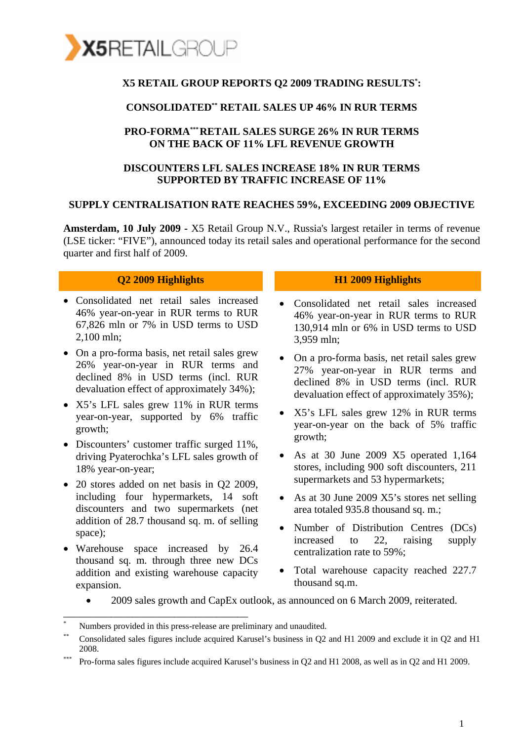

#### **X5 RETAIL GROUP REPORTS Q2 2009 TRADING RESULTS\* :**

#### **CONSOLIDATED\*\* RETAIL SALES UP 46% IN RUR TERMS**

#### **PRO-FORMA\*\*\*RETAIL SALES SURGE 26% IN RUR TERMS ON THE BACK OF 11% LFL REVENUE GROWTH**

#### **DISCOUNTERS LFL SALES INCREASE 18% IN RUR TERMS SUPPORTED BY TRAFFIC INCREASE OF 11%**

#### **SUPPLY CENTRALISATION RATE REACHES 59%, EXCEEDING 2009 OBJECTIVE**

**Amsterdam, 10 July 2009 -** X5 Retail Group N.V., Russia's largest retailer in terms of revenue (LSE ticker: "FIVE"), announced today its retail sales and operational performance for the second quarter and first half of 2009.

- Consolidated net retail sales increased 46% year-on-year in RUR terms to RUR 67,826 mln or 7% in USD terms to USD 2,100 mln;
- On a pro-forma basis, net retail sales grew 26% year-on-year in RUR terms and declined 8% in USD terms (incl. RUR devaluation effect of approximately 34%);
- X5's LFL sales grew 11% in RUR terms year-on-year, supported by 6% traffic growth;
- Discounters' customer traffic surged 11%, driving Pyaterochka's LFL sales growth of 18% year-on-year;
- 20 stores added on net basis in Q2 2009, including four hypermarkets, 14 soft discounters and two supermarkets (net addition of 28.7 thousand sq. m. of selling space);
- Warehouse space increased by 26.4 thousand sq. m. through three new DCs addition and existing warehouse capacity expansion.

\_\_\_\_\_\_\_\_\_\_\_\_\_\_\_\_\_\_\_\_\_\_\_\_\_\_\_\_\_\_\_\_\_\_\_

#### **Q2 2009 Highlights H1 2009 Highlights**

- Consolidated net retail sales increased 46% year-on-year in RUR terms to RUR 130,914 mln or 6% in USD terms to USD 3,959 mln;
- On a pro-forma basis, net retail sales grew 27% year-on-year in RUR terms and declined 8% in USD terms (incl. RUR devaluation effect of approximately 35%);
- X5's LFL sales grew 12% in RUR terms year-on-year on the back of 5% traffic growth;
- As at 30 June 2009 X5 operated 1,164 stores, including 900 soft discounters, 211 supermarkets and 53 hypermarkets;
- As at 30 June 2009 X5's stores net selling area totaled 935.8 thousand sq. m.;
- Number of Distribution Centres (DCs) increased to 22, raising supply centralization rate to 59%;
- Total warehouse capacity reached 227.7 thousand sq.m.
- 2009 sales growth and CapEx outlook, as announced on 6 March 2009, reiterated.

Numbers provided in this press-release are preliminary and unaudited.

<sup>\*\*</sup> Consolidated sales figures include acquired Karusel's business in Q2 and H1 2009 and exclude it in Q2 and H1 2008.

<sup>\*\*\*</sup> Pro-forma sales figures include acquired Karusel's business in Q2 and H1 2008, as well as in Q2 and H1 2009.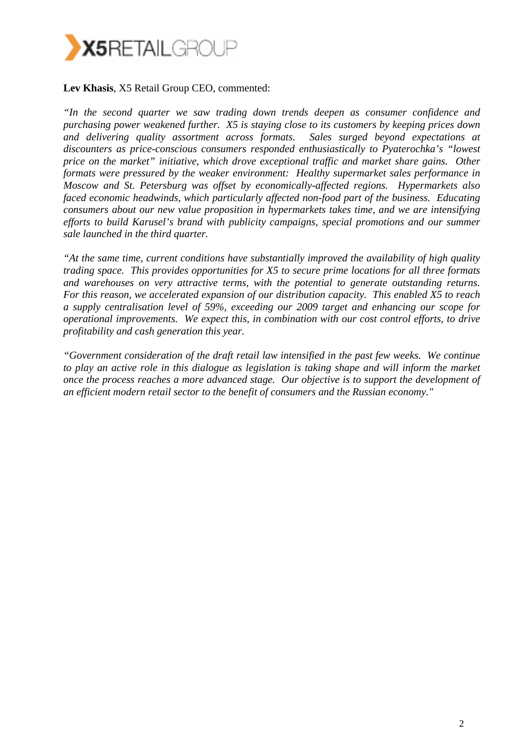

#### **Lev Khasis**, X5 Retail Group CEO, commented:

*"In the second quarter we saw trading down trends deepen as consumer confidence and purchasing power weakened further. X5 is staying close to its customers by keeping prices down and delivering quality assortment across formats. Sales surged beyond expectations at discounters as price-conscious consumers responded enthusiastically to Pyaterochka's "lowest price on the market" initiative, which drove exceptional traffic and market share gains. Other formats were pressured by the weaker environment: Healthy supermarket sales performance in Moscow and St. Petersburg was offset by economically-affected regions. Hypermarkets also faced economic headwinds, which particularly affected non-food part of the business. Educating consumers about our new value proposition in hypermarkets takes time, and we are intensifying efforts to build Karusel's brand with publicity campaigns, special promotions and our summer sale launched in the third quarter.*

*"At the same time, current conditions have substantially improved the availability of high quality trading space. This provides opportunities for X5 to secure prime locations for all three formats and warehouses on very attractive terms, with the potential to generate outstanding returns. For this reason, we accelerated expansion of our distribution capacity. This enabled X5 to reach a supply centralisation level of 59%, exceeding our 2009 target and enhancing our scope for operational improvements. We expect this, in combination with our cost control efforts, to drive profitability and cash generation this year.* 

*"Government consideration of the draft retail law intensified in the past few weeks. We continue to play an active role in this dialogue as legislation is taking shape and will inform the market once the process reaches a more advanced stage. Our objective is to support the development of an efficient modern retail sector to the benefit of consumers and the Russian economy."*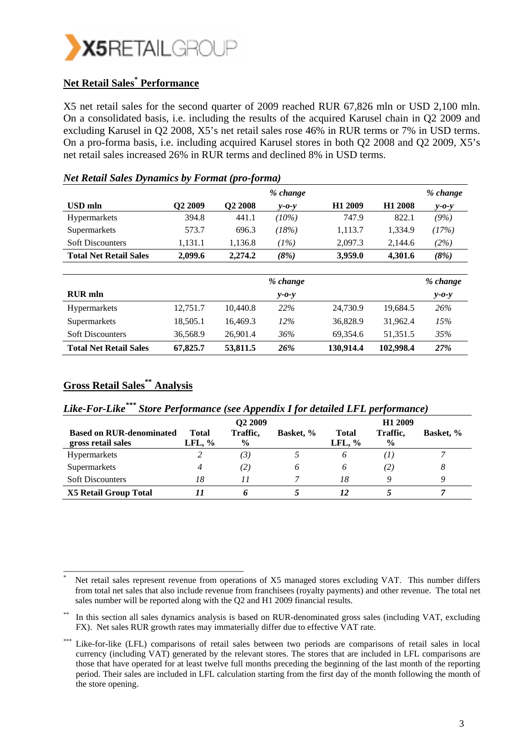

### **Net Retail Sales\* Performance**

X5 net retail sales for the second quarter of 2009 reached RUR 67,826 mln or USD 2,100 mln. On a consolidated basis, i.e. including the results of the acquired Karusel chain in Q2 2009 and excluding Karusel in Q2 2008, X5's net retail sales rose 46% in RUR terms or 7% in USD terms. On a pro-forma basis, i.e. including acquired Karusel stores in both Q2 2008 and Q2 2009, X5's net retail sales increased 26% in RUR terms and declined 8% in USD terms.

|                               |                     |                     | % change    |                     |                     | % change    |
|-------------------------------|---------------------|---------------------|-------------|---------------------|---------------------|-------------|
| <b>USD</b> mln                | O <sub>2</sub> 2009 | Q <sub>2</sub> 2008 | $v$ -0- $v$ | H <sub>1</sub> 2009 | H <sub>1</sub> 2008 | $v$ -0- $v$ |
| <b>Hypermarkets</b>           | 394.8               | 441.1               | $(10\%)$    | 747.9               | 822.1               | (9%)        |
| Supermarkets                  | 573.7               | 696.3               | (18%)       | 1,113.7             | 1,334.9             | (17%)       |
| <b>Soft Discounters</b>       | 1,131.1             | 1,136.8             | (1%)        | 2,097.3             | 2,144.6             | (2%)        |
| <b>Total Net Retail Sales</b> | 2,099.6             | 2,274.2             | (8%)        | 3,959.0             | 4,301.6             | (8%)        |
|                               |                     |                     |             |                     |                     |             |
|                               |                     |                     | % change    |                     |                     | % change    |
| <b>RUR</b> mln                |                     |                     | $y - 0 - y$ |                     |                     | $y - 0 - y$ |
| Hypermarkets                  | 12,751.7            | 10,440.8            | 22%         | 24,730.9            | 19,684.5            | 26%         |
| Supermarkets                  | 18,505.1            | 16,469.3            | $12\%$      | 36,828.9            | 31,962.4            | 15%         |
| <b>Soft Discounters</b>       | 36,568.9            | 26,901.4            | 36%         | 69,354.6            | 51,351.5            | 35%         |
| <b>Total Net Retail Sales</b> | 67,825.7            | 53,811.5            | 26%         | 130,914.4           | 102,998.4           | 27%         |

#### *Net Retail Sales Dynamics by Format (pro-forma)*

#### **Gross Retail Sales\*\* Analysis**

\_\_\_\_\_\_\_\_\_\_\_\_\_\_\_\_\_\_\_\_\_\_\_\_\_\_\_\_\_\_\_\_\_\_\_\_\_\_\_\_\_

## *Like-For-Like\*\*\* Store Performance (see Appendix I for detailed LFL performance)*

|                                                       |                          | Q <sub>2</sub> 2009       |           | H <sub>1</sub> 2009       |                  |           |
|-------------------------------------------------------|--------------------------|---------------------------|-----------|---------------------------|------------------|-----------|
| <b>Based on RUR-denominated</b><br>gross retail sales | <b>Total</b><br>LFL, $%$ | Traffic,<br>$\frac{6}{9}$ | Basket, % | <b>Total</b><br>LFL, $\%$ | Traffic,<br>$\%$ | Basket, % |
| Hypermarkets                                          |                          | $\left(3\right)$          |           | O                         |                  |           |
| Supermarkets                                          | 4                        | $\left( 2\right)$         | 6         | O                         | (2)              | 8         |
| <b>Soft Discounters</b>                               | 18                       |                           |           | 18                        |                  |           |
| <b>X5 Retail Group Total</b>                          |                          |                           |           | 12                        |                  |           |

<sup>\*</sup> Net retail sales represent revenue from operations of X5 managed stores excluding VAT. This number differs from total net sales that also include revenue from franchisees (royalty payments) and other revenue. The total net sales number will be reported along with the Q2 and H1 2009 financial results.

In this section all sales dynamics analysis is based on RUR-denominated gross sales (including VAT, excluding FX). Net sales RUR growth rates may immaterially differ due to effective VAT rate.

Like-for-like (LFL) comparisons of retail sales between two periods are comparisons of retail sales in local currency (including VAT) generated by the relevant stores. The stores that are included in LFL comparisons are those that have operated for at least twelve full months preceding the beginning of the last month of the reporting period. Their sales are included in LFL calculation starting from the first day of the month following the month of the store opening.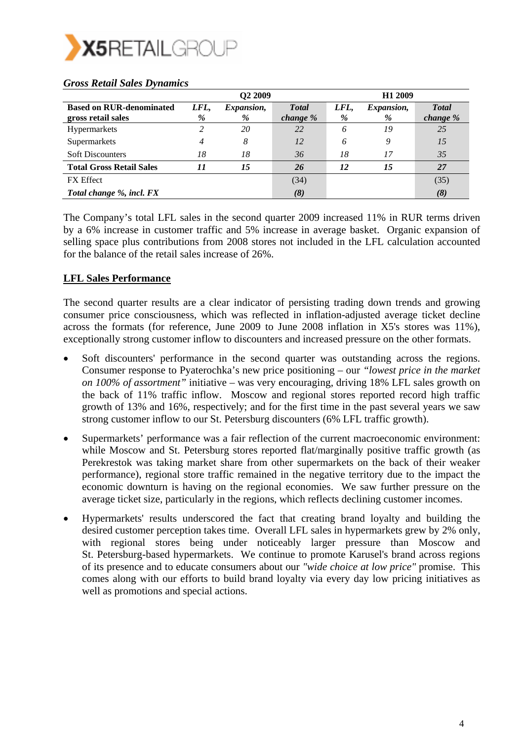

|                                                       |           | Q <sub>2</sub> 2009 |                          | H <sub>1</sub> 2009 |                           |                           |  |
|-------------------------------------------------------|-----------|---------------------|--------------------------|---------------------|---------------------------|---------------------------|--|
| <b>Based on RUR-denominated</b><br>gross retail sales | LFL,<br>% | Expansion,<br>%     | <b>Total</b><br>change % | LFL,<br>%           | <i>Expansion,</i><br>$\%$ | <b>T</b> otal<br>change % |  |
| Hypermarkets                                          |           | 20                  | 22                       | 6                   | 19                        | 25                        |  |
| Supermarkets                                          |           | 8                   | 12                       | 6                   | 9                         | 15                        |  |
| <b>Soft Discounters</b>                               | 18        | 18                  | 36                       | 18                  |                           | 35                        |  |
| <b>Total Gross Retail Sales</b>                       | 11        | 15                  | 26                       | 12                  | 15                        | 27                        |  |
| <b>FX</b> Effect                                      |           |                     | (34)                     |                     |                           | (35)                      |  |
| Total change %, incl. FX                              |           |                     | (8)                      |                     |                           | (8)                       |  |

#### *Gross Retail Sales Dynamics*

The Company's total LFL sales in the second quarter 2009 increased 11% in RUR terms driven by a 6% increase in customer traffic and 5% increase in average basket. Organic expansion of selling space plus contributions from 2008 stores not included in the LFL calculation accounted for the balance of the retail sales increase of 26%.

#### **LFL Sales Performance**

The second quarter results are a clear indicator of persisting trading down trends and growing consumer price consciousness, which was reflected in inflation-adjusted average ticket decline across the formats (for reference, June 2009 to June 2008 inflation in X5's stores was 11%), exceptionally strong customer inflow to discounters and increased pressure on the other formats.

- Soft discounters' performance in the second quarter was outstanding across the regions. Consumer response to Pyaterochka's new price positioning – our *"lowest price in the market on 100% of assortment"* initiative – was very encouraging, driving 18% LFL sales growth on the back of 11% traffic inflow. Moscow and regional stores reported record high traffic growth of 13% and 16%, respectively; and for the first time in the past several years we saw strong customer inflow to our St. Petersburg discounters (6% LFL traffic growth).
- Supermarkets' performance was a fair reflection of the current macroeconomic environment: while Moscow and St. Petersburg stores reported flat/marginally positive traffic growth (as Perekrestok was taking market share from other supermarkets on the back of their weaker performance), regional store traffic remained in the negative territory due to the impact the economic downturn is having on the regional economies. We saw further pressure on the average ticket size, particularly in the regions, which reflects declining customer incomes.
- Hypermarkets' results underscored the fact that creating brand loyalty and building the desired customer perception takes time. Overall LFL sales in hypermarkets grew by 2% only, with regional stores being under noticeably larger pressure than Moscow and St. Petersburg-based hypermarkets. We continue to promote Karusel's brand across regions of its presence and to educate consumers about our *"wide choice at low price"* promise. This comes along with our efforts to build brand loyalty via every day low pricing initiatives as well as promotions and special actions.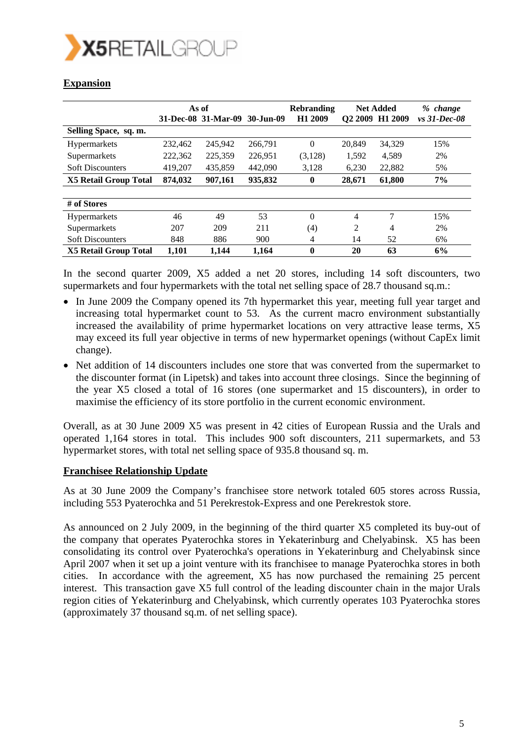

### **Expansion**

|                              | As of   |                     |           | <b>Rebranding</b>   | <b>Net Added</b>    |                     | % change        |
|------------------------------|---------|---------------------|-----------|---------------------|---------------------|---------------------|-----------------|
|                              |         | 31-Dec-08 31-Mar-09 | 30-Jun-09 | H <sub>1</sub> 2009 | O <sub>2</sub> 2009 | H <sub>1</sub> 2009 | $vs. 31-Dec-08$ |
| Selling Space, sq. m.        |         |                     |           |                     |                     |                     |                 |
| <b>Hypermarkets</b>          | 232,462 | 245,942             | 266,791   | $\Omega$            | 20,849              | 34,329              | 15%             |
| Supermarkets                 | 222,362 | 225,359             | 226.951   | (3,128)             | 1,592               | 4,589               | 2%              |
| <b>Soft Discounters</b>      | 419.207 | 435,859             | 442,090   | 3,128               | 6,230               | 22,882              | 5%              |
| <b>X5 Retail Group Total</b> | 874.032 | 907,161             | 935,832   | $\bf{0}$            | 28,671              | 61,800              | 7%              |
|                              |         |                     |           |                     |                     |                     |                 |
| # of Stores                  |         |                     |           |                     |                     |                     |                 |
| <b>Hypermarkets</b>          | 46      | 49                  | 53        | $\Omega$            | 4                   | 7                   | 15%             |
| Supermarkets                 | 207     | 209                 | 211       | (4)                 | 2                   | 4                   | 2%              |
| <b>Soft Discounters</b>      | 848     | 886                 | 900       | 4                   | 14                  | 52                  | 6%              |
| <b>X5 Retail Group Total</b> | 1.101   | 1.144               | 1.164     | $\mathbf{0}$        | 20                  | 63                  | 6%              |

In the second quarter 2009, X5 added a net 20 stores, including 14 soft discounters, two supermarkets and four hypermarkets with the total net selling space of 28.7 thousand sq.m.:

- In June 2009 the Company opened its 7th hypermarket this year, meeting full year target and increasing total hypermarket count to 53. As the current macro environment substantially increased the availability of prime hypermarket locations on very attractive lease terms, X5 may exceed its full year objective in terms of new hypermarket openings (without CapEx limit change).
- Net addition of 14 discounters includes one store that was converted from the supermarket to the discounter format (in Lipetsk) and takes into account three closings. Since the beginning of the year X5 closed a total of 16 stores (one supermarket and 15 discounters), in order to maximise the efficiency of its store portfolio in the current economic environment.

Overall, as at 30 June 2009 X5 was present in 42 cities of European Russia and the Urals and operated 1,164 stores in total. This includes 900 soft discounters, 211 supermarkets, and 53 hypermarket stores, with total net selling space of 935.8 thousand sq. m.

#### **Franchisee Relationship Update**

As at 30 June 2009 the Company's franchisee store network totaled 605 stores across Russia, including 553 Pyaterochka and 51 Perekrestok-Express and one Perekrestok store.

As announced on 2 July 2009, in the beginning of the third quarter X5 completed its buy-out of the company that operates Pyaterochka stores in Yekaterinburg and Chelyabinsk. X5 has been consolidating its control over Pyaterochka's operations in Yekaterinburg and Chelyabinsk since April 2007 when it set up a joint venture with its franchisee to manage Pyaterochka stores in both cities. In accordance with the agreement, X5 has now purchased the remaining 25 percent interest. This transaction gave X5 full control of the leading discounter chain in the major Urals region cities of Yekaterinburg and Chelyabinsk, which currently operates 103 Pyaterochka stores (approximately 37 thousand sq.m. of net selling space).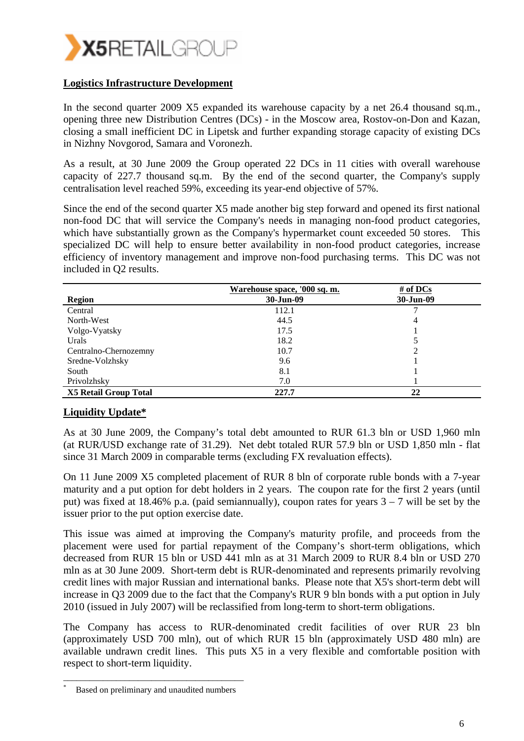

#### **Logistics Infrastructure Development**

In the second quarter 2009 X5 expanded its warehouse capacity by a net 26.4 thousand sq.m., opening three new Distribution Centres (DCs) - in the Moscow area, Rostov-on-Don and Kazan, closing a small inefficient DC in Lipetsk and further expanding storage capacity of existing DCs in Nizhny Novgorod, Samara and Voronezh.

As a result, at 30 June 2009 the Group operated 22 DCs in 11 cities with overall warehouse capacity of 227.7 thousand sq.m. By the end of the second quarter, the Company's supply centralisation level reached 59%, exceeding its year-end objective of 57%.

Since the end of the second quarter X5 made another big step forward and opened its first national non-food DC that will service the Company's needs in managing non-food product categories, which have substantially grown as the Company's hypermarket count exceeded 50 stores. This specialized DC will help to ensure better availability in non-food product categories, increase efficiency of inventory management and improve non-food purchasing terms. This DC was not included in Q2 results.

|                              | Warehouse space, '000 sq. m. | # of DCs       |
|------------------------------|------------------------------|----------------|
| <b>Region</b>                | 30-Jun-09                    | 30-Jun-09      |
| Central                      | 112.1                        |                |
| North-West                   | 44.5                         | $\overline{4}$ |
| Volgo-Vyatsky                | 17.5                         |                |
| Urals                        | 18.2                         |                |
| Centralno-Chernozemny        | 10.7                         |                |
| Sredne-Volzhsky              | 9.6                          |                |
| South                        | 8.1                          |                |
| Privolzhsky                  | 7.0                          |                |
| <b>X5 Retail Group Total</b> | 227.7                        | 22             |

#### **Liquidity Update\***

As at 30 June 2009, the Company's total debt amounted to RUR 61.3 bln or USD 1,960 mln (at RUR/USD exchange rate of 31.29). Net debt totaled RUR 57.9 bln or USD 1,850 mln - flat since 31 March 2009 in comparable terms (excluding FX revaluation effects).

On 11 June 2009 X5 completed placement of RUR 8 bln of corporate ruble bonds with a 7-year maturity and a put option for debt holders in 2 years. The coupon rate for the first 2 years (until put) was fixed at 18.46% p.a. (paid semiannually), coupon rates for years  $3 - 7$  will be set by the issuer prior to the put option exercise date.

This issue was aimed at improving the Company's maturity profile, and proceeds from the placement were used for partial repayment of the Company's short-term obligations, which decreased from RUR 15 bln or USD 441 mln as at 31 March 2009 to RUR 8.4 bln or USD 270 mln as at 30 June 2009. Short-term debt is RUR-denominated and represents primarily revolving credit lines with major Russian and international banks. Please note that X5's short-term debt will increase in Q3 2009 due to the fact that the Company's RUR 9 bln bonds with a put option in July 2010 (issued in July 2007) will be reclassified from long-term to short-term obligations.

The Company has access to RUR-denominated credit facilities of over RUR 23 bln (approximately USD 700 mln), out of which RUR 15 bln (approximately USD 480 mln) are available undrawn credit lines. This puts X5 in a very flexible and comfortable position with respect to short-term liquidity.

\_\_\_\_\_\_\_\_\_\_\_\_\_\_\_\_\_\_\_\_\_\_\_\_\_\_\_\_\_\_\_\_\_\_\_\_\_\_\_\_\_ Based on preliminary and unaudited numbers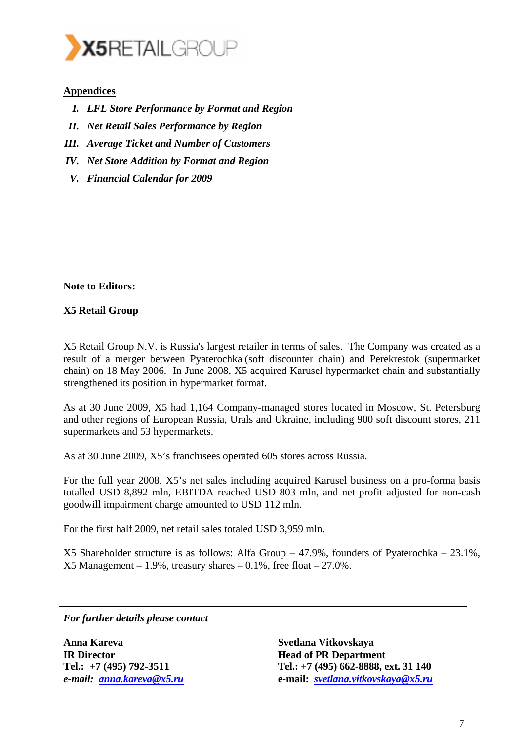

#### **Appendices**

- *I. LFL Store Performance by Format and Region*
- *II. Net Retail Sales Performance by Region*
- *III. Average Ticket and Number of Customers*
- *IV. Net Store Addition by Format and Region*
- *V. Financial Calendar for 2009*

**Note to Editors:** 

#### **X5 Retail Group**

X5 Retail Group N.V. is Russia's largest retailer in terms of sales. The Company was created as a result of a merger between Pyaterochka (soft discounter chain) and Perekrestok (supermarket chain) on 18 May 2006. In June 2008, X5 acquired Karusel hypermarket chain and substantially strengthened its position in hypermarket format.

As at 30 June 2009, X5 had 1,164 Company-managed stores located in Moscow, St. Petersburg and other regions of European Russia, Urals and Ukraine, including 900 soft discount stores, 211 supermarkets and 53 hypermarkets.

As at 30 June 2009, X5's franchisees operated 605 stores across Russia.

For the full year 2008, X5's net sales including acquired Karusel business on a pro-forma basis totalled USD 8,892 mln, EBITDA reached USD 803 mln, and net profit adjusted for non-cash goodwill impairment charge amounted to USD 112 mln.

For the first half 2009, net retail sales totaled USD 3,959 mln.

X5 Shareholder structure is as follows: Alfa Group – 47.9%, founders of Pyaterochka – 23.1%,  $X5$  Management – 1.9%, treasury shares – 0.1%, free float – 27.0%.

*For further details please contact* 

**Anna Kareva IR Director Tel.: +7 (495) 792-3511**  *e-mail: anna.kareva@x5.ru* **Svetlana Vitkovskaya Head of PR Department Tel.: +7 (495) 662-8888, ext. 31 140 e-mail:** *svetlana.vitkovskaya@x5.ru*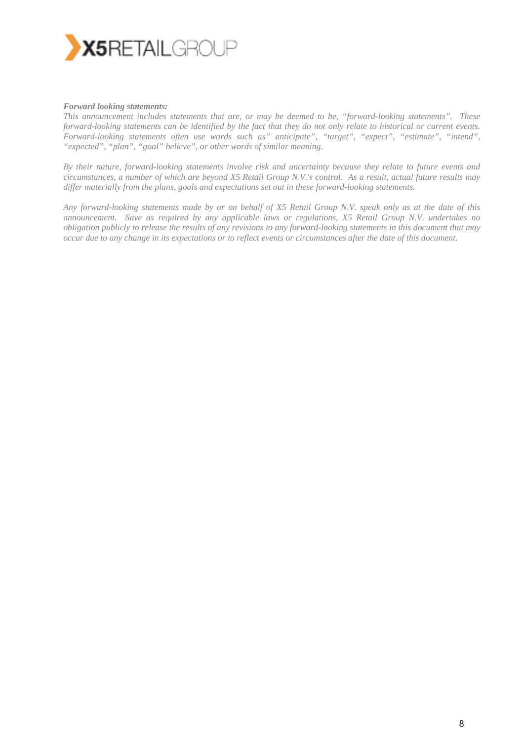

#### *Forward looking statements:*

*This announcement includes statements that are, or may be deemed to be, "forward-looking statements". These forward-looking statements can be identified by the fact that they do not only relate to historical or current events. Forward-looking statements often use words such as" anticipate", "target", "expect", "estimate", "intend", "expected", "plan", "goal" believe", or other words of similar meaning.* 

*By their nature, forward-looking statements involve risk and uncertainty because they relate to future events and circumstances, a number of which are beyond X5 Retail Group N.V.'s control. As a result, actual future results may differ materially from the plans, goals and expectations set out in these forward-looking statements.* 

*Any forward-looking statements made by or on behalf of X5 Retail Group N.V. speak only as at the date of this announcement. Save as required by any applicable laws or regulations, X5 Retail Group N.V. undertakes no obligation publicly to release the results of any revisions to any forward-looking statements in this document that may occur due to any change in its expectations or to reflect events or circumstances after the date of this document.*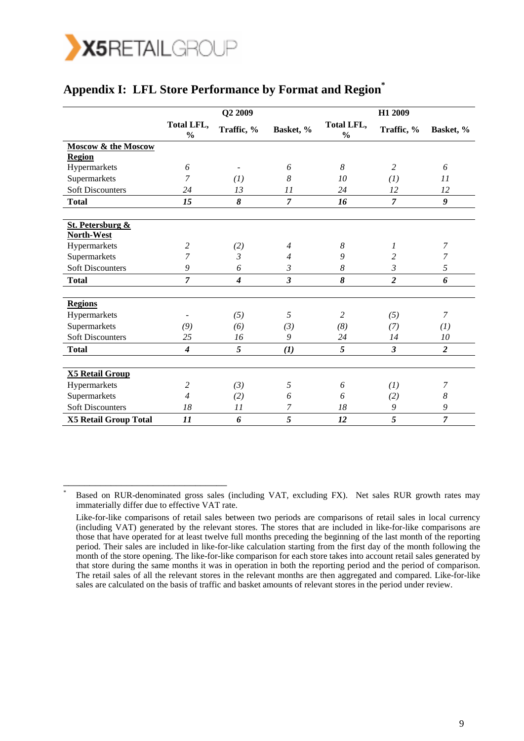

\_\_\_\_\_\_\_\_\_\_\_\_\_\_\_\_\_\_\_\_\_\_\_\_\_\_\_\_\_\_\_

## **Appendix I: LFL Store Performance by Format and Region\***

|                                | Q2 2009                     |                  |                         | H1 2009                     |                         |                |  |
|--------------------------------|-----------------------------|------------------|-------------------------|-----------------------------|-------------------------|----------------|--|
|                                | Total LFL,<br>$\frac{0}{0}$ | Traffic, %       | Basket, %               | Total LFL,<br>$\frac{0}{0}$ | Traffic, %              | Basket, %      |  |
| <b>Moscow &amp; the Moscow</b> |                             |                  |                         |                             |                         |                |  |
| <b>Region</b>                  |                             |                  |                         |                             |                         |                |  |
| Hypermarkets                   | 6                           |                  | 6                       | 8                           | $\overline{c}$          | 6              |  |
| Supermarkets                   | 7                           | (I)              | 8                       | 10                          | (I)                     | 11             |  |
| <b>Soft Discounters</b>        | 24                          | 13               | 11                      | 24                          | 12                      | 12             |  |
| <b>Total</b>                   | 15                          | 8                | $\overline{7}$          | 16                          | $\overline{7}$          | 9              |  |
| <b>St. Petersburg &amp;</b>    |                             |                  |                         |                             |                         |                |  |
| North-West                     |                             |                  |                         |                             |                         |                |  |
| Hypermarkets                   | $\overline{c}$              | (2)              | $\overline{4}$          | 8                           | 1                       | 7              |  |
| Supermarkets                   | 7                           | $\mathfrak{Z}$   | $\overline{4}$          | 9                           | $\overline{c}$          | 7              |  |
| <b>Soft Discounters</b>        | 9                           | 6                | $\mathfrak{Z}$          | $\boldsymbol{8}$            | 3                       | 5              |  |
| <b>Total</b>                   | $\overline{7}$              | $\boldsymbol{4}$ | $\overline{\mathbf{3}}$ | 8                           | $\overline{2}$          | 6              |  |
|                                |                             |                  |                         |                             |                         |                |  |
| <b>Regions</b>                 |                             |                  | 5                       | 2                           |                         | $\overline{7}$ |  |
| Hypermarkets                   |                             | (5)              |                         |                             | (5)                     |                |  |
| Supermarkets                   | (9)                         | (6)              | (3)                     | (8)                         | (7)                     | (1)            |  |
| <b>Soft Discounters</b>        | 25                          | 16               | 9                       | 24                          | 14                      | 10             |  |
| <b>Total</b>                   | $\overline{4}$              | 5                | (1)                     | 5                           | $\overline{\mathbf{3}}$ | $\overline{2}$ |  |
| <b>X5 Retail Group</b>         |                             |                  |                         |                             |                         |                |  |
| Hypermarkets                   | $\overline{c}$              | (3)              | 5                       | 6                           | (I)                     | 7              |  |
| Supermarkets                   | $\overline{4}$              | (2)              | 6                       | 6                           | (2)                     | 8              |  |
| <b>Soft Discounters</b>        | 18                          | 11               | 7                       | 18                          | 9                       | 9              |  |
| X5 Retail Group Total          | 11                          | 6                | 5                       | 12                          | 5                       | $\overline{7}$ |  |

<sup>\*</sup> Based on RUR-denominated gross sales (including VAT, excluding FX). Net sales RUR growth rates may immaterially differ due to effective VAT rate.

Like-for-like comparisons of retail sales between two periods are comparisons of retail sales in local currency (including VAT) generated by the relevant stores. The stores that are included in like-for-like comparisons are those that have operated for at least twelve full months preceding the beginning of the last month of the reporting period. Their sales are included in like-for-like calculation starting from the first day of the month following the month of the store opening. The like-for-like comparison for each store takes into account retail sales generated by that store during the same months it was in operation in both the reporting period and the period of comparison. The retail sales of all the relevant stores in the relevant months are then aggregated and compared. Like-for-like sales are calculated on the basis of traffic and basket amounts of relevant stores in the period under review.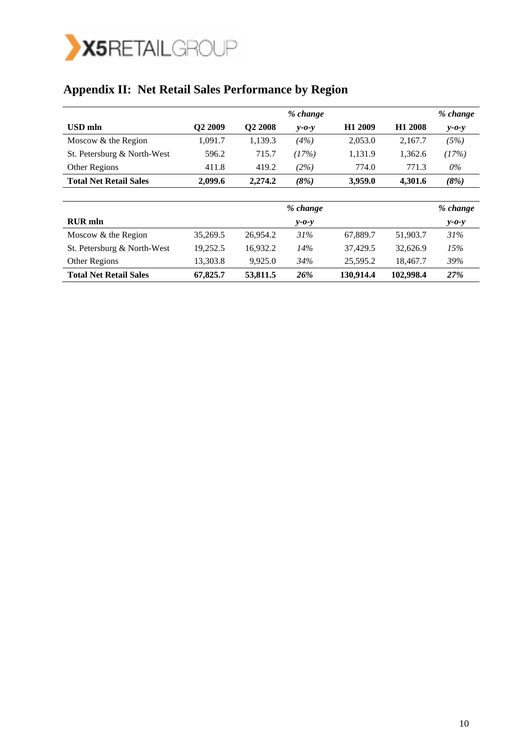

# **Appendix II: Net Retail Sales Performance by Region**

|                               |                     |                     | % change    |                     |                     | % change    |
|-------------------------------|---------------------|---------------------|-------------|---------------------|---------------------|-------------|
| USD mln                       | Q <sub>2</sub> 2009 | O <sub>2</sub> 2008 | $y - 0 - y$ | H <sub>1</sub> 2009 | H <sub>1</sub> 2008 | $y - 0 - y$ |
| Moscow $&$ the Region         | 1.091.7             | 1.139.3             | (4%)        | 2,053.0             | 2.167.7             | (5%)        |
| St. Petersburg & North-West   | 596.2               | 715.7               | (17%)       | 1.131.9             | 1.362.6             | (17%)       |
| Other Regions                 | 411.8               | 419.2               | (2%)        | 774.0               | 771.3               | 0%          |
| <b>Total Net Retail Sales</b> | 2.099.6             | 2.274.2             | (8%)        | 3,959.0             | 4.301.6             | (8%)        |

|                               |          |          | % change    |           |           | % change    |
|-------------------------------|----------|----------|-------------|-----------|-----------|-------------|
| <b>RUR</b> mln                |          |          | $v$ -0- $v$ |           |           | $y - 0 - y$ |
| Moscow & the Region           | 35,269.5 | 26.954.2 | 31%         | 67,889.7  | 51,903.7  | 31%         |
| St. Petersburg & North-West   | 19,252.5 | 16.932.2 | 14%         | 37.429.5  | 32,626.9  | 15%         |
| Other Regions                 | 13,303.8 | 9.925.0  | 34%         | 25.595.2  | 18,467.7  | 39%         |
| <b>Total Net Retail Sales</b> | 67,825.7 | 53,811.5 | 26%         | 130,914.4 | 102,998.4 | <b>27%</b>  |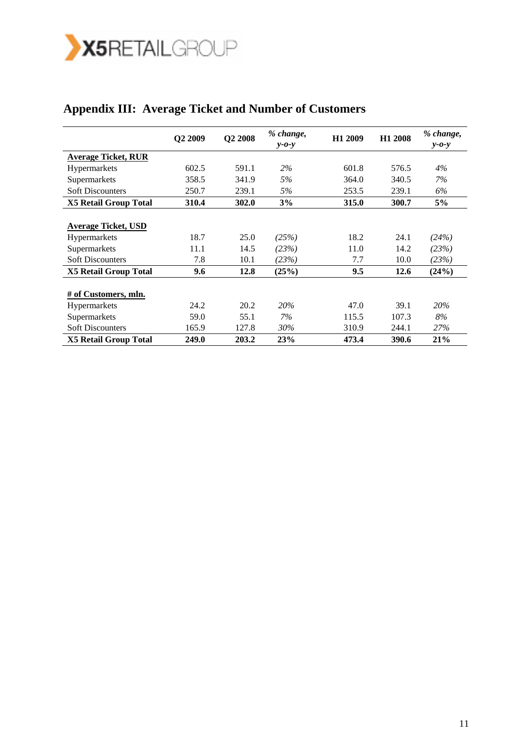

## **Appendix III: Average Ticket and Number of Customers**

|                              | Q2 2009 | Q2 2008 | % change,<br>$y - 0 - y$ | H1 2009 | H1 2008 | % change,<br>$y - 0 - y$ |
|------------------------------|---------|---------|--------------------------|---------|---------|--------------------------|
| <b>Average Ticket, RUR</b>   |         |         |                          |         |         |                          |
| <b>Hypermarkets</b>          | 602.5   | 591.1   | 2%                       | 601.8   | 576.5   | $4\%$                    |
| Supermarkets                 | 358.5   | 341.9   | 5%                       | 364.0   | 340.5   | 7%                       |
| <b>Soft Discounters</b>      | 250.7   | 239.1   | 5%                       | 253.5   | 239.1   | 6%                       |
| <b>X5 Retail Group Total</b> | 310.4   | 302.0   | 3%                       | 315.0   | 300.7   | 5%                       |
|                              |         |         |                          |         |         |                          |
| <b>Average Ticket, USD</b>   |         |         |                          |         |         |                          |
| <b>Hypermarkets</b>          | 18.7    | 25.0    | (25%)                    | 18.2    | 24.1    | (24%)                    |
| Supermarkets                 | 11.1    | 14.5    | (23%)                    | 11.0    | 14.2    | (23%)                    |
| <b>Soft Discounters</b>      | 7.8     | 10.1    | (23%)                    | 7.7     | 10.0    | (23%)                    |
| <b>X5 Retail Group Total</b> | 9.6     | 12.8    | (25%)                    | 9.5     | 12.6    | (24%)                    |
|                              |         |         |                          |         |         |                          |
| # of Customers, mln.         |         |         |                          |         |         |                          |
| Hypermarkets                 | 24.2    | 20.2    | 20%                      | 47.0    | 39.1    | 20%                      |
| Supermarkets                 | 59.0    | 55.1    | 7%                       | 115.5   | 107.3   | 8%                       |
| <b>Soft Discounters</b>      | 165.9   | 127.8   | 30%                      | 310.9   | 244.1   | 27%                      |
| <b>X5 Retail Group Total</b> | 249.0   | 203.2   | 23%                      | 473.4   | 390.6   | 21%                      |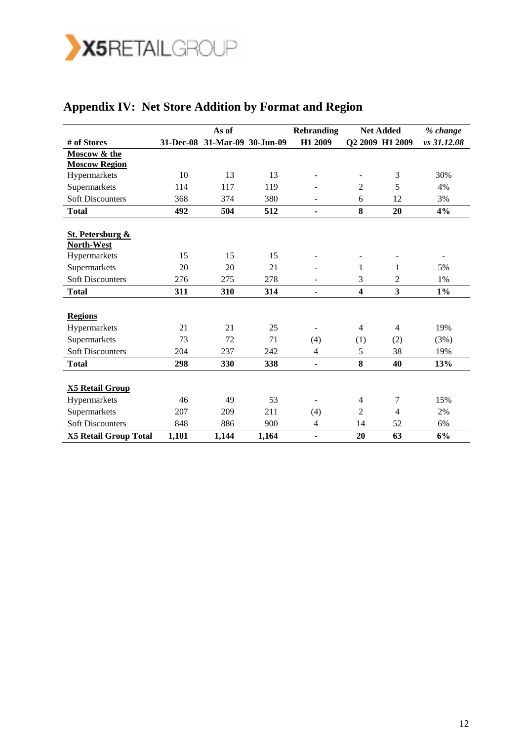

|                                           |       | As of                         |       | <b>Rebranding</b>            |                          | <b>Net Added</b>        | % change    |
|-------------------------------------------|-------|-------------------------------|-------|------------------------------|--------------------------|-------------------------|-------------|
| # of Stores                               |       | 31-Dec-08 31-Mar-09 30-Jun-09 |       | H1 2009                      |                          | Q2 2009 H1 2009         | vs 31.12.08 |
| Moscow & the                              |       |                               |       |                              |                          |                         |             |
| <b>Moscow Region</b>                      |       |                               |       |                              |                          |                         |             |
| Hypermarkets                              | 10    | 13                            | 13    |                              | $\overline{\phantom{a}}$ | 3                       | 30%         |
| Supermarkets                              | 114   | 117                           | 119   |                              | $\overline{2}$           | 5                       | 4%          |
| <b>Soft Discounters</b>                   | 368   | 374                           | 380   | $\overline{\phantom{a}}$     | 6                        | 12                      | 3%          |
| <b>Total</b>                              | 492   | 504                           | 512   | $\qquad \qquad \blacksquare$ | 8                        | 20                      | 4%          |
|                                           |       |                               |       |                              |                          |                         |             |
| <b>St. Petersburg &amp;</b><br>North-West |       |                               |       |                              |                          |                         |             |
| Hypermarkets                              | 15    | 15                            | 15    |                              |                          |                         |             |
| Supermarkets                              | 20    | 20                            | 21    |                              | 1                        | 1                       | 5%          |
| <b>Soft Discounters</b>                   | 276   | 275                           | 278   | $\qquad \qquad \blacksquare$ | 3                        | 2                       | 1%          |
| <b>Total</b>                              | 311   | 310                           | 314   | $\qquad \qquad \blacksquare$ | $\overline{\mathbf{4}}$  | $\overline{\mathbf{3}}$ | $1\%$       |
|                                           |       |                               |       |                              |                          |                         |             |
| <b>Regions</b>                            |       |                               |       |                              |                          |                         |             |
| Hypermarkets                              | 21    | 21                            | 25    |                              | $\overline{4}$           | $\overline{4}$          | 19%         |
| Supermarkets                              | 73    | 72                            | 71    | (4)                          | (1)                      | (2)                     | (3%)        |
| <b>Soft Discounters</b>                   | 204   | 237                           | 242   | $\overline{4}$               | 5                        | 38                      | 19%         |
| <b>Total</b>                              | 298   | 330                           | 338   | $\qquad \qquad \blacksquare$ | 8                        | 40                      | 13%         |
|                                           |       |                               |       |                              |                          |                         |             |
| <b>X5 Retail Group</b>                    |       |                               |       |                              |                          |                         |             |
| Hypermarkets                              | 46    | 49                            | 53    | $\overline{\phantom{m}}$     | $\overline{4}$           | 7                       | 15%         |
| Supermarkets                              | 207   | 209                           | 211   | (4)                          | $\overline{2}$           | $\overline{4}$          | 2%          |
| <b>Soft Discounters</b>                   | 848   | 886                           | 900   | 4                            | 14                       | 52                      | 6%          |
| <b>X5 Retail Group Total</b>              | 1,101 | 1,144                         | 1,164 | $\blacksquare$               | 20                       | 63                      | 6%          |

# **Appendix IV: Net Store Addition by Format and Region**